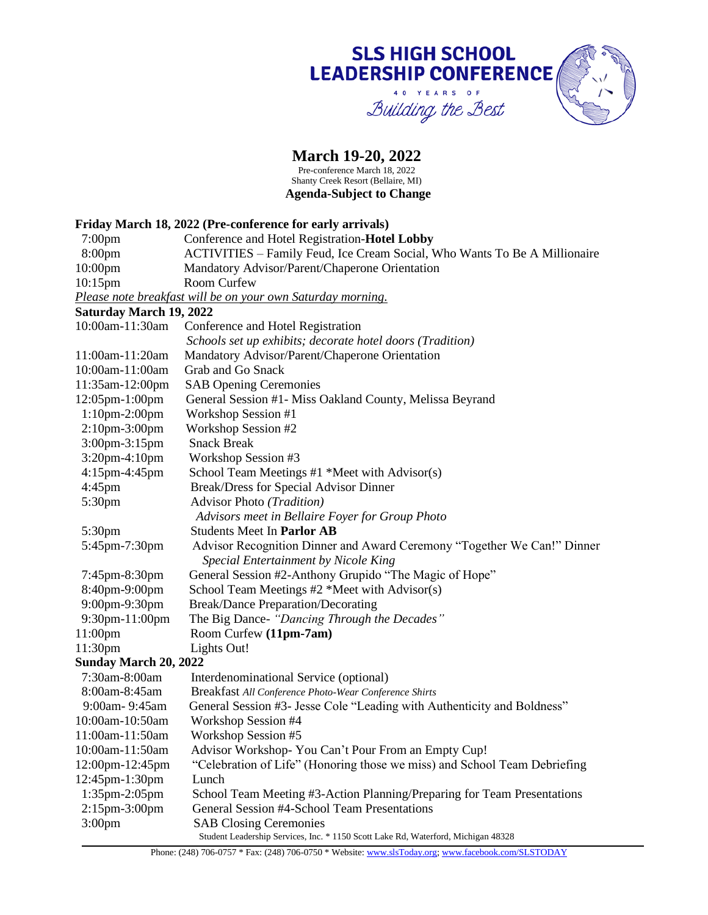### **SLS HIGH SCHOOL LEADERSHIP CONFERENCE** 40 YEARS OF Building the Best

#### **March 19-20, 2022**

Pre-conference March 18, 2022 Shanty Creek Resort (Bellaire, MI) **Agenda-Subject to Change**

#### Student Leadership Services, Inc. \* 1150 Scott Lake Rd, Waterford, Michigan 48328 **Friday March 18, 2022 (Pre-conference for early arrivals)** 7:00pm Conference and Hotel Registration-**Hotel Lobby** 8:00pm ACTIVITIES – Family Feud, Ice Cream Social, Who Wants To Be A Millionaire 10:00pm Mandatory Advisor/Parent/Chaperone Orientation 10:15pm Room Curfew *Please note breakfast will be on your own Saturday morning.* **Saturday March 19, 2022** 10:00am-11:30am Conference and Hotel Registration *Schools set up exhibits; decorate hotel doors (Tradition)* 11:00am-11:20am Mandatory Advisor/Parent/Chaperone Orientation 10:00am-11:00am Grab and Go Snack 11:35am-12:00pm SAB Opening Ceremonies 12:05pm-1:00pm General Session #1- Miss Oakland County, Melissa Beyrand 1:10pm-2:00pm Workshop Session #1 2:10pm-3:00pm Workshop Session #2 3:00pm-3:15pm Snack Break 3:20pm-4:10pm Workshop Session #3 4:15pm-4:45pm School Team Meetings #1 \*Meet with Advisor(s) 4:45pm Break/Dress for Special Advisor Dinner 5:30pm Advisor Photo *(Tradition) Advisors meet in Bellaire Foyer for Group Photo* 5:30pm Students Meet In **Parlor AB** 5:45pm-7:30pm Advisor Recognition Dinner and Award Ceremony "Together We Can!" Dinner *Special Entertainment by Nicole King* 7:45pm-8:30pm General Session #2-Anthony Grupido "The Magic of Hope" 8:40pm-9:00pm School Team Meetings #2 \*Meet with Advisor(s) 9:00pm-9:30pm Break/Dance Preparation/Decorating 9:30pm-11:00pm The Big Dance- *"Dancing Through the Decades"* 11:00pm Room Curfew **(11pm-7am)** 11:30pm Lights Out! **Sunday March 20, 2022** 7:30am-8:00am Interdenominational Service (optional) 8:00am-8:45am Breakfast *All Conference Photo-Wear Conference Shirts* 9:00am- 9:45am General Session #3- Jesse Cole "Leading with Authenticity and Boldness" 10:00am-10:50am Workshop Session #4 11:00am-11:50am Workshop Session #5 10:00am-11:50am Advisor Workshop- You Can't Pour From an Empty Cup! 12:00pm-12:45pm "Celebration of Life" (Honoring those we miss) and School Team Debriefing 12:45pm-1:30pm Lunch 1:35pm-2:05pm School Team Meeting #3-Action Planning/Preparing for Team Presentations 2:15pm-3:00pm General Session #4-School Team Presentations 3:00pm SAB Closing Ceremonies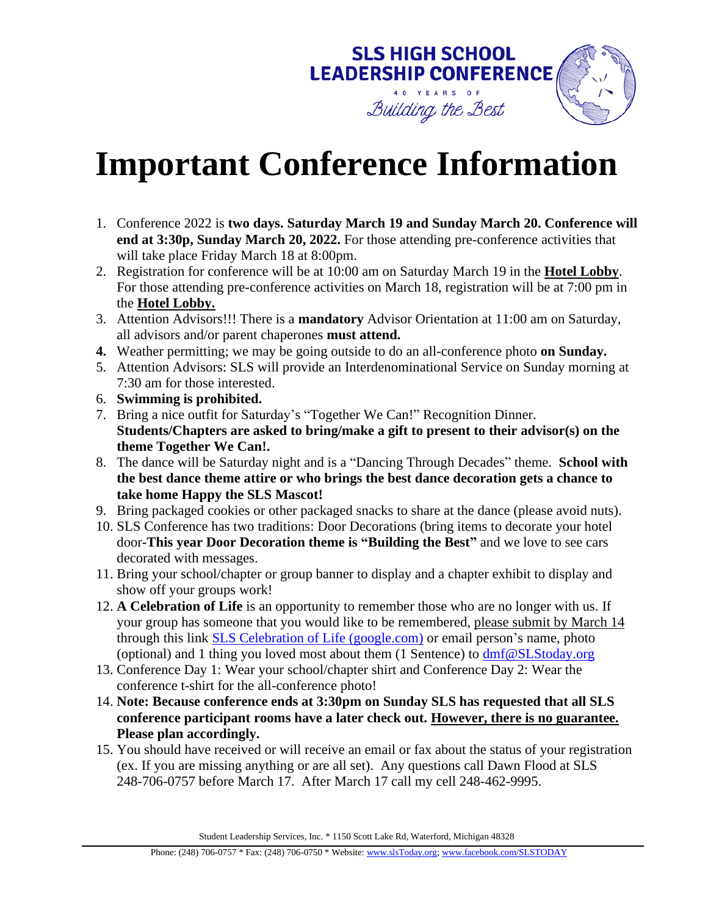

# **Important Conference Information**

- 1. Conference 2022 is **two days. Saturday March 19 and Sunday March 20. Conference will end at 3:30p, Sunday March 20, 2022.** For those attending pre-conference activities that will take place Friday March 18 at 8:00pm.
- 2. Registration for conference will be at 10:00 am on Saturday March 19 in the **Hotel Lobby**. For those attending pre-conference activities on March 18, registration will be at 7:00 pm in the **Hotel Lobby.**
- 3. Attention Advisors!!! There is a **mandatory** Advisor Orientation at 11:00 am on Saturday, all advisors and/or parent chaperones **must attend.**
- **4.** Weather permitting; we may be going outside to do an all-conference photo **on Sunday.**
- 5. Attention Advisors: SLS will provide an Interdenominational Service on Sunday morning at 7:30 am for those interested.
- 6. **Swimming is prohibited.**
- 7. Bring a nice outfit for Saturday's "Together We Can!" Recognition Dinner. **Students/Chapters are asked to bring/make a gift to present to their advisor(s) on the theme Together We Can!.**
- 8. The dance will be Saturday night and is a "Dancing Through Decades" theme. **School with the best dance theme attire or who brings the best dance decoration gets a chance to take home Happy the SLS Mascot!**
- 9. Bring packaged cookies or other packaged snacks to share at the dance (please avoid nuts).
- 10. SLS Conference has two traditions: Door Decorations (bring items to decorate your hotel door**-This year Door Decoration theme is "Building the Best"** and we love to see cars decorated with messages.
- 11. Bring your school/chapter or group banner to display and a chapter exhibit to display and show off your groups work!
- 12. **A Celebration of Life** is an opportunity to remember those who are no longer with us. If your group has someone that you would like to be remembered, please submit by March 14 through this link [SLS Celebration of Life \(google.com\)](https://docs.google.com/forms/d/1oObeoJIRyuw3KDfBdHPgzX85bOUymTvl0OrEF0e-36I/prefill) or email person's name, photo (optional) and 1 thing you loved most about them  $(1$  Sentence) to  $dmf@SLStoday.org$
- 13. Conference Day 1: Wear your school/chapter shirt and Conference Day 2: Wear the conference t-shirt for the all-conference photo!
- 14. **Note: Because conference ends at 3:30pm on Sunday SLS has requested that all SLS conference participant rooms have a later check out. However, there is no guarantee. Please plan accordingly.**
- 15. You should have received or will receive an email or fax about the status of your registration (ex. If you are missing anything or are all set). Any questions call Dawn Flood at SLS 248-706-0757 before March 17. After March 17 call my cell 248-462-9995.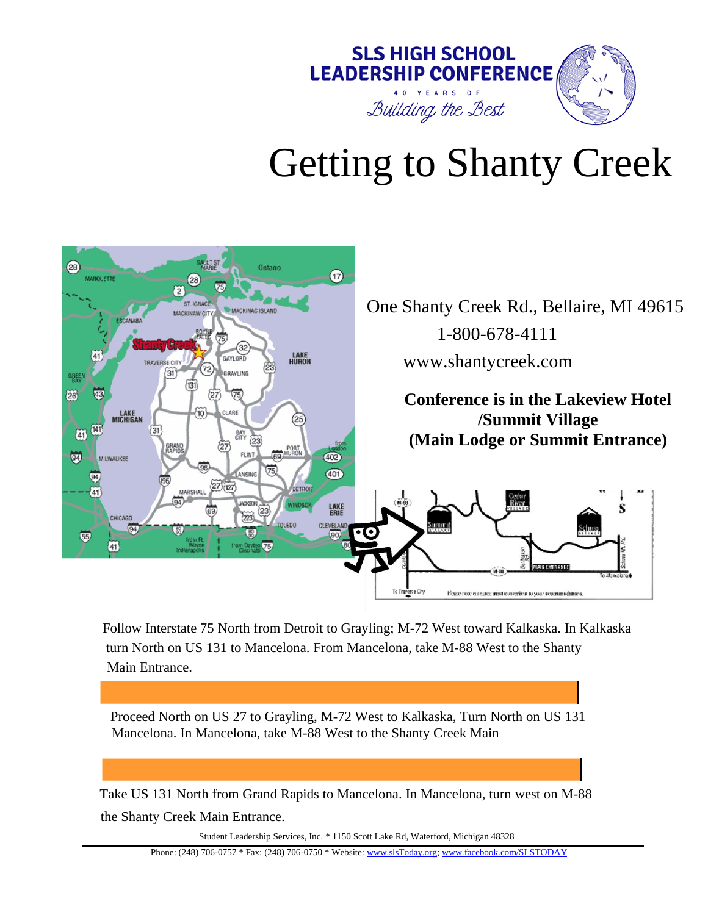

# Getting to Shanty Creek



Follow Interstate 75 North from Detroit to Grayling; M-72 West toward Kalkaska. In Kalkaska turn North on US 131 to Mancelona. From Mancelona, take M-88 West to the Shanty Main Entrance.

Proceed North on US 27 to Grayling, M-72 West to Kalkaska, Turn North on US 131 Mancelona. In Mancelona, take M-88 West to the Shanty Creek Main

Take US 131 North from Grand Rapids to Mancelona. In Mancelona, turn west on M-88 the Shanty Creek Main Entrance.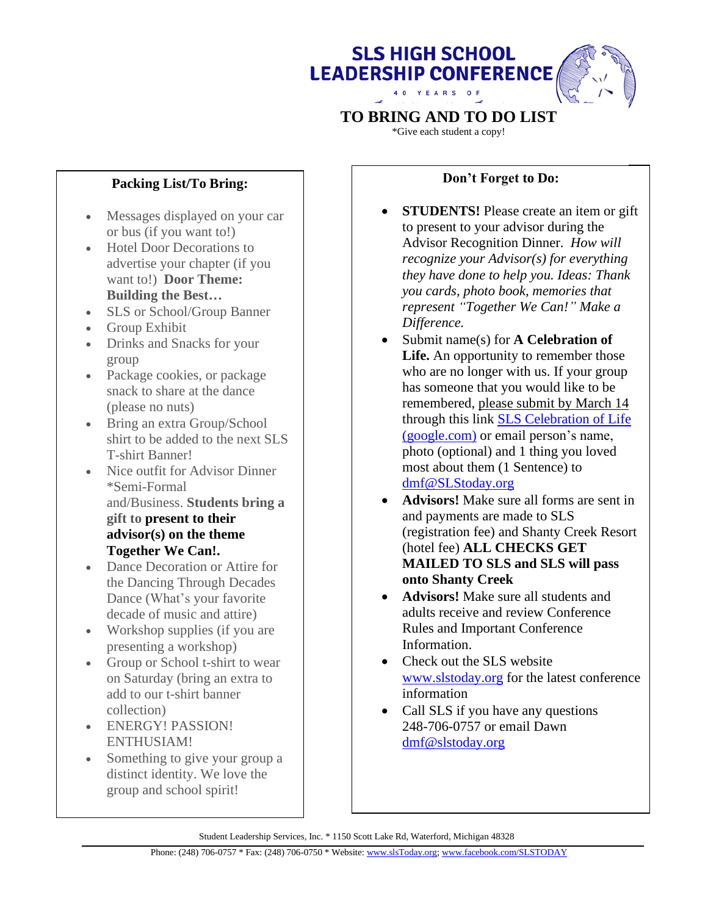# **SLS HIGH SCHOOL LEADERSHIP CONFERENCE** 4 0 Y E A R S

# **TO BRING AND TO DO LIST**

\*Give each student a copy!

### **Packing List/To Bring:**

- Messages displayed on your car or bus (if you want to!)
- Hotel Door Decorations to advertise your chapter (if you want to!) **Door Theme: Building the Best…**
- SLS or School/Group Banner
- Group Exhibit
- Drinks and Snacks for your group
- Package cookies, or package snack to share at the dance (please no nuts)
- Bring an extra Group/School shirt to be added to the next SLS T-shirt Banner!
- Nice outfit for Advisor Dinner \*Semi-Formal and/Business. **Students bring a gift to present to their advisor(s) on the theme Together We Can!.**
- Dance Decoration or Attire for the Dancing Through Decades Dance (What's your favorite decade of music and attire)
- Workshop supplies (if you are presenting a workshop)
- Group or School t-shirt to wear on Saturday (bring an extra to add to our t-shirt banner collection)
- ENERGY! PASSION! ENTHUSIAM!
- Something to give your group a distinct identity. We love the group and school spirit!

#### **Don't Forget to Do:**

- **STUDENTS!** Please create an item or gift to present to your advisor during the Advisor Recognition Dinner. *How will recognize your Advisor(s) for everything they have done to help you. Ideas: Thank you cards, photo book, memories that represent "Together We Can!" Make a Difference.*
- Submit name(s) for **A Celebration of Life.** An opportunity to remember those who are no longer with us. If your group has someone that you would like to be remembered, please submit by March 14 through this link [SLS Celebration of Life](https://docs.google.com/forms/d/1oObeoJIRyuw3KDfBdHPgzX85bOUymTvl0OrEF0e-36I/prefill)  [\(google.com\)](https://docs.google.com/forms/d/1oObeoJIRyuw3KDfBdHPgzX85bOUymTvl0OrEF0e-36I/prefill) or email person's name, photo (optional) and 1 thing you loved most about them (1 Sentence) to [dmf@SLStoday.org](mailto:dmf@SLStoday.org)
- **Advisors!** Make sure all forms are sent in and payments are made to SLS (registration fee) and Shanty Creek Resort (hotel fee) **ALL CHECKS GET MAILED TO SLS and SLS will pass onto Shanty Creek**
- **Advisors!** Make sure all students and adults receive and review Conference Rules and Important Conference Information.
- Check out the SLS website [www.slstoday.org](http://www.slstoday.org/) for the latest conference information
- Call SLS if you have any questions 248-706-0757 or email Dawn [dmf@slstoday.org](mailto:dmf@slstoday.org)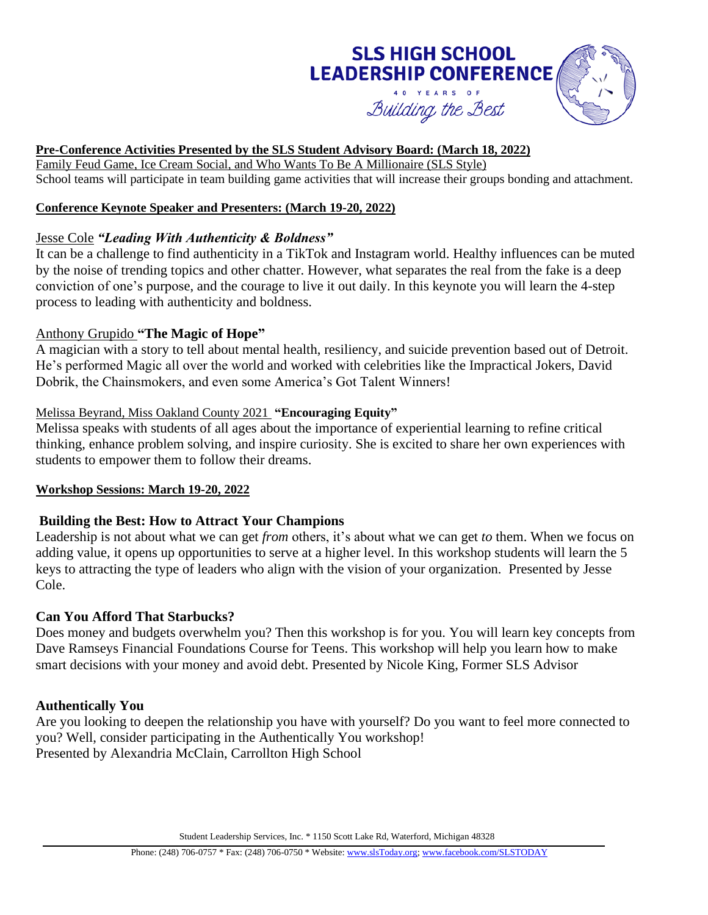# **SLS HIGH SCHOOL LEADERSHIP CONFERENCE**



#### **Pre-Conference Activities Presented by the SLS Student Advisory Board: (March 18, 2022)**

Family Feud Game, Ice Cream Social, and Who Wants To Be A Millionaire (SLS Style) School teams will participate in team building game activities that will increase their groups bonding and attachment.

#### **Conference Keynote Speaker and Presenters: (March 19-20, 2022)**

#### Jesse Cole *"Leading With Authenticity & Boldness"*

It can be a challenge to find authenticity in a TikTok and Instagram world. Healthy influences can be muted by the noise of trending topics and other chatter. However, what separates the real from the fake is a deep conviction of one's purpose, and the courage to live it out daily. In this keynote you will learn the 4-step process to leading with authenticity and boldness.

#### Anthony Grupido **"The Magic of Hope"**

A magician with a story to tell about mental health, resiliency, and suicide prevention based out of Detroit. He's performed Magic all over the world and worked with celebrities like the Impractical Jokers, David Dobrik, the Chainsmokers, and even some America's Got Talent Winners!

#### Melissa Beyrand, Miss Oakland County 2021 **"Encouraging Equity"**

Melissa speaks with students of all ages about the importance of experiential learning to refine critical thinking, enhance problem solving, and inspire curiosity. She is excited to share her own experiences with students to empower them to follow their dreams.

#### **Workshop Sessions: March 19-20, 2022**

#### **Building the Best: How to Attract Your Champions**

Leadership is not about what we can get *from* others, it's about what we can get *to* them. When we focus on adding value, it opens up opportunities to serve at a higher level. In this workshop students will learn the 5 keys to attracting the type of leaders who align with the vision of your organization. Presented by Jesse Cole.

#### **Can You Afford That Starbucks?**

Does money and budgets overwhelm you? Then this workshop is for you. You will learn key concepts from Dave Ramseys Financial Foundations Course for Teens. This workshop will help you learn how to make smart decisions with your money and avoid debt. Presented by Nicole King, Former SLS Advisor

#### **Authentically You**

Are you looking to deepen the relationship you have with yourself? Do you want to feel more connected to you? Well, consider participating in the Authentically You workshop! Presented by Alexandria McClain, Carrollton High School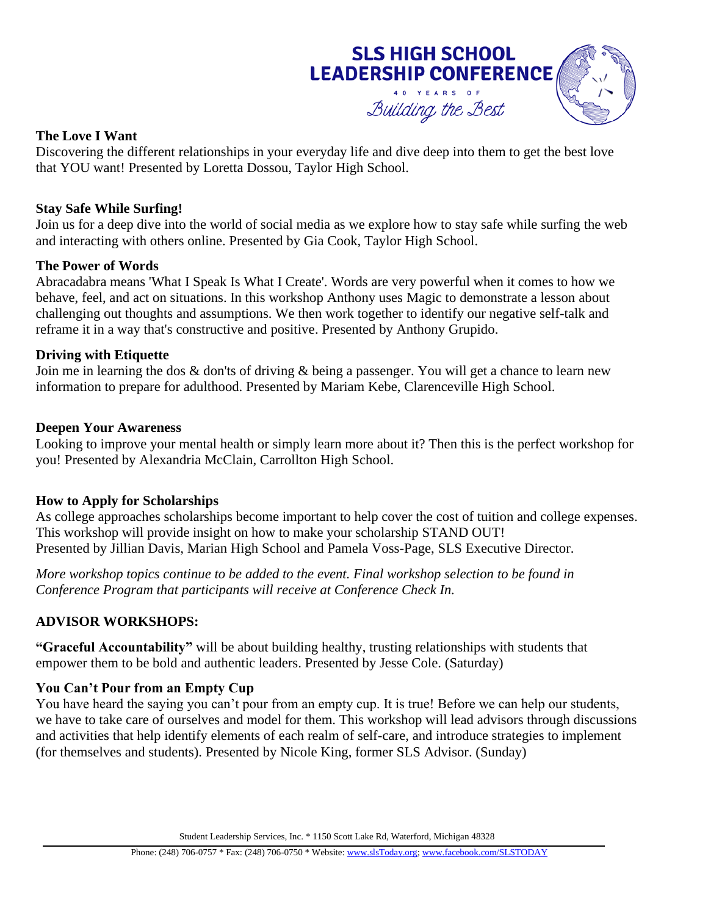

#### **The Love I Want**

Discovering the different relationships in your everyday life and dive deep into them to get the best love that YOU want! Presented by Loretta Dossou, Taylor High School.

#### **Stay Safe While Surfing!**

Join us for a deep dive into the world of social media as we explore how to stay safe while surfing the web and interacting with others online. Presented by Gia Cook, Taylor High School.

#### **The Power of Words**

Abracadabra means 'What I Speak Is What I Create'. Words are very powerful when it comes to how we behave, feel, and act on situations. In this workshop Anthony uses Magic to demonstrate a lesson about challenging out thoughts and assumptions. We then work together to identify our negative self-talk and reframe it in a way that's constructive and positive. Presented by Anthony Grupido.

#### **Driving with Etiquette**

Join me in learning the dos & don'ts of driving & being a passenger. You will get a chance to learn new information to prepare for adulthood. Presented by Mariam Kebe, Clarenceville High School.

#### **Deepen Your Awareness**

Looking to improve your mental health or simply learn more about it? Then this is the perfect workshop for you! Presented by Alexandria McClain, Carrollton High School.

#### **How to Apply for Scholarships**

As college approaches scholarships become important to help cover the cost of tuition and college expenses. This workshop will provide insight on how to make your scholarship STAND OUT! Presented by Jillian Davis, Marian High School and Pamela Voss-Page, SLS Executive Director.

*More workshop topics continue to be added to the event. Final workshop selection to be found in Conference Program that participants will receive at Conference Check In.*

#### **ADVISOR WORKSHOPS:**

**"Graceful Accountability"** will be about building healthy, trusting relationships with students that empower them to be bold and authentic leaders. Presented by Jesse Cole. (Saturday)

#### **You Can't Pour from an Empty Cup**

You have heard the saying you can't pour from an empty cup. It is true! Before we can help our students, we have to take care of ourselves and model for them. This workshop will lead advisors through discussions and activities that help identify elements of each realm of self-care, and introduce strategies to implement (for themselves and students). Presented by Nicole King, former SLS Advisor. (Sunday)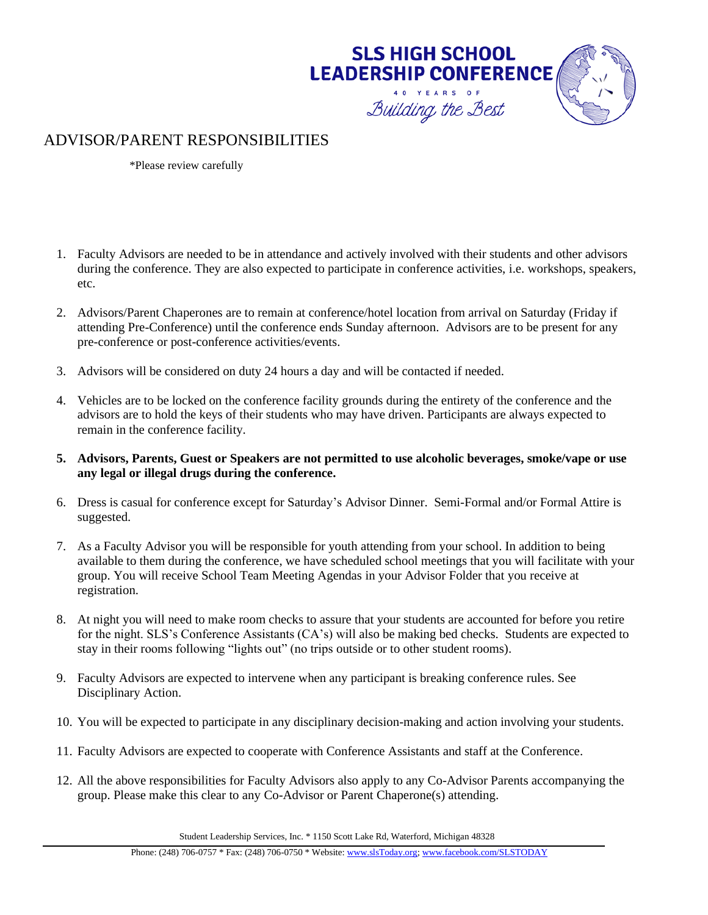

#### ADVISOR/PARENT RESPONSIBILITIES

\*Please review carefully

- 1. Faculty Advisors are needed to be in attendance and actively involved with their students and other advisors during the conference. They are also expected to participate in conference activities, i.e. workshops, speakers, etc.
- 2. Advisors/Parent Chaperones are to remain at conference/hotel location from arrival on Saturday (Friday if attending Pre-Conference) until the conference ends Sunday afternoon. Advisors are to be present for any pre-conference or post-conference activities/events.
- 3. Advisors will be considered on duty 24 hours a day and will be contacted if needed.
- 4. Vehicles are to be locked on the conference facility grounds during the entirety of the conference and the advisors are to hold the keys of their students who may have driven. Participants are always expected to remain in the conference facility.
- **5. Advisors, Parents, Guest or Speakers are not permitted to use alcoholic beverages, smoke/vape or use any legal or illegal drugs during the conference.**
- 6. Dress is casual for conference except for Saturday's Advisor Dinner. Semi-Formal and/or Formal Attire is suggested.
- 7. As a Faculty Advisor you will be responsible for youth attending from your school. In addition to being available to them during the conference, we have scheduled school meetings that you will facilitate with your group. You will receive School Team Meeting Agendas in your Advisor Folder that you receive at registration.
- 8. At night you will need to make room checks to assure that your students are accounted for before you retire for the night. SLS's Conference Assistants (CA's) will also be making bed checks. Students are expected to stay in their rooms following "lights out" (no trips outside or to other student rooms).
- 9. Faculty Advisors are expected to intervene when any participant is breaking conference rules. See Disciplinary Action.
- 10. You will be expected to participate in any disciplinary decision-making and action involving your students.
- 11. Faculty Advisors are expected to cooperate with Conference Assistants and staff at the Conference.
- 12. All the above responsibilities for Faculty Advisors also apply to any Co-Advisor Parents accompanying the group. Please make this clear to any Co-Advisor or Parent Chaperone(s) attending.